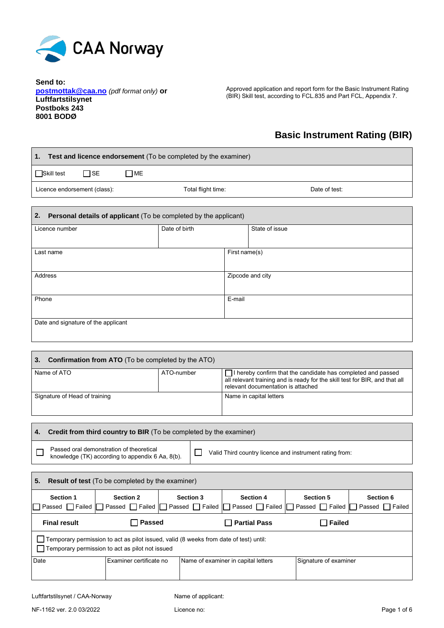

**Send to: postmottak@caa.no** *(pdf format only)* **or Luftfartstilsynet Postboks 243 8001 BODØ**

Approved application and report form for the Basic Instrument Rating (BIR) Skill test, according to FCL.835 and Part FCL, Appendix 7.

# **Basic Instrument Rating (BIR)**

| Test and licence endorsement (To be completed by the examiner)<br>1.   |                    |                  |  |  |  |
|------------------------------------------------------------------------|--------------------|------------------|--|--|--|
| $\Box$ ME<br>Skill test<br>$\Box$ SE                                   |                    |                  |  |  |  |
| Licence endorsement (class):                                           | Total flight time: | Date of test:    |  |  |  |
| Personal details of applicant (To be completed by the applicant)<br>2. |                    |                  |  |  |  |
| Licence number                                                         | Date of birth      | State of issue   |  |  |  |
| Last name                                                              |                    | First name(s)    |  |  |  |
| <b>Address</b>                                                         |                    | Zipcode and city |  |  |  |
| Phone                                                                  |                    | E-mail           |  |  |  |
| Date and signature of the applicant                                    |                    |                  |  |  |  |
|                                                                        |                    |                  |  |  |  |

| l 3.<br><b>Confirmation from ATO</b> (To be completed by the ATO) |  |                                                                                                                                                                                          |  |  |  |
|-------------------------------------------------------------------|--|------------------------------------------------------------------------------------------------------------------------------------------------------------------------------------------|--|--|--|
| Name of ATO<br>ATO-number                                         |  | $\Box$ I hereby confirm that the candidate has completed and passed<br>all relevant training and is ready for the skill test for BIR, and that all<br>relevant documentation is attached |  |  |  |
| Signature of Head of training                                     |  | Name in capital letters                                                                                                                                                                  |  |  |  |

| Credit from third country to BIR (To be completed by the examiner)<br>4.                                                                                |                                                                                                                                                                                                     |  |  |                                     |                       |  |
|---------------------------------------------------------------------------------------------------------------------------------------------------------|-----------------------------------------------------------------------------------------------------------------------------------------------------------------------------------------------------|--|--|-------------------------------------|-----------------------|--|
| Passed oral demonstration of theoretical<br>Valid Third country licence and instrument rating from:<br>knowledge (TK) according to appendix 6 Aa, 8(b). |                                                                                                                                                                                                     |  |  |                                     |                       |  |
|                                                                                                                                                         |                                                                                                                                                                                                     |  |  |                                     |                       |  |
| 5.                                                                                                                                                      | <b>Result of test</b> (To be completed by the examiner)                                                                                                                                             |  |  |                                     |                       |  |
| <b>Section 1</b><br>Passed                                                                                                                              | <b>Section 3</b><br><b>Section 4</b><br><b>Section 5</b><br>Section 6<br><b>Section 2</b><br>□ Failed   Passed □ Failed   Passed □ Failed<br>Passed Failed Passed<br>Failed<br>Passed    <br>Failed |  |  |                                     |                       |  |
| <b>Final result</b>                                                                                                                                     | <b>Passed</b><br><b>Partial Pass</b><br><b>Failed</b>                                                                                                                                               |  |  |                                     |                       |  |
|                                                                                                                                                         | Temporary permission to act as pilot issued, valid (8 weeks from date of test) until:                                                                                                               |  |  |                                     |                       |  |
| Temporary permission to act as pilot not issued                                                                                                         |                                                                                                                                                                                                     |  |  |                                     |                       |  |
| Date<br>Examiner certificate no                                                                                                                         |                                                                                                                                                                                                     |  |  | Name of examiner in capital letters | Signature of examiner |  |
|                                                                                                                                                         |                                                                                                                                                                                                     |  |  |                                     |                       |  |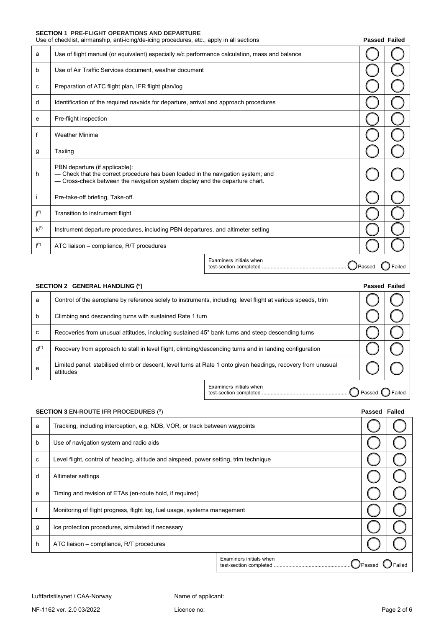### **SECTION 1 PRE-FLIGHT OPERATIONS AND DEPARTURE**

|               |                                                                                                                                                                                                    | Use of checklist, airmanship, anti-icing/de-icing procedures, etc., apply in all sections<br><b>Passed Failed</b> |  |        |
|---------------|----------------------------------------------------------------------------------------------------------------------------------------------------------------------------------------------------|-------------------------------------------------------------------------------------------------------------------|--|--------|
| a             | Use of flight manual (or equivalent) especially a/c performance calculation, mass and balance                                                                                                      |                                                                                                                   |  |        |
| b             | Use of Air Traffic Services document, weather document                                                                                                                                             |                                                                                                                   |  |        |
| c             | Preparation of ATC flight plan, IFR flight plan/log                                                                                                                                                |                                                                                                                   |  |        |
| d             | Identification of the required navaids for departure, arrival and approach procedures                                                                                                              |                                                                                                                   |  |        |
| е             | Pre-flight inspection                                                                                                                                                                              |                                                                                                                   |  |        |
| f             | <b>Weather Minima</b>                                                                                                                                                                              |                                                                                                                   |  |        |
| g             | Taxiing                                                                                                                                                                                            |                                                                                                                   |  |        |
| h.            | PBN departure (if applicable):<br>- Check that the correct procedure has been loaded in the navigation system; and<br>- Cross-check between the navigation system display and the departure chart. |                                                                                                                   |  |        |
|               | Pre-take-off briefing, Take-off.                                                                                                                                                                   |                                                                                                                   |  |        |
| $j^{(0)}$     | Transition to instrument flight                                                                                                                                                                    |                                                                                                                   |  |        |
| $k^{o}$       | Instrument departure procedures, including PBN departures, and altimeter setting                                                                                                                   |                                                                                                                   |  |        |
| $\vert^{(0)}$ | ATC liaison - compliance, R/T procedures                                                                                                                                                           |                                                                                                                   |  |        |
|               |                                                                                                                                                                                                    | Examiners initials when                                                                                           |  | Failed |

|             | SECTION 2 GENERAL HANDLING (0)                                                                                            | <b>Passed Failed</b> |  |
|-------------|---------------------------------------------------------------------------------------------------------------------------|----------------------|--|
| a           | Control of the aeroplane by reference solely to instruments, including: level flight at various speeds, trim              |                      |  |
| $\mathbf b$ | Climbing and descending turns with sustained Rate 1 turn                                                                  |                      |  |
| C           | Recoveries from unusual attitudes, including sustained 45° bank turns and steep descending turns                          |                      |  |
| $d^{(*)}$   | Recovery from approach to stall in level flight, climbing/descending turns and in landing configuration                   |                      |  |
| e           | Limited panel: stabilised climb or descent, level turns at Rate 1 onto given headings, recovery from unusual<br>attitudes |                      |  |

Examiners initials when test-section completed ............................................................ Passed Failed

|   | <b>SECTION 3 EN-ROUTE IFR PROCEDURES (°)</b>                                           |  |  |  |  |
|---|----------------------------------------------------------------------------------------|--|--|--|--|
| a | Tracking, including interception, e.g. NDB, VOR, or track between waypoints            |  |  |  |  |
| b | Use of navigation system and radio aids                                                |  |  |  |  |
| c | Level flight, control of heading, altitude and airspeed, power setting, trim technique |  |  |  |  |
| d | Altimeter settings                                                                     |  |  |  |  |
| e | Timing and revision of ETAs (en-route hold, if required)                               |  |  |  |  |
| f | Monitoring of flight progress, flight log, fuel usage, systems management              |  |  |  |  |
| g | Ice protection procedures, simulated if necessary                                      |  |  |  |  |
| h | ATC liaison – compliance, R/T procedures                                               |  |  |  |  |
|   | Examiners initials when<br><b>J</b> Passed                                             |  |  |  |  |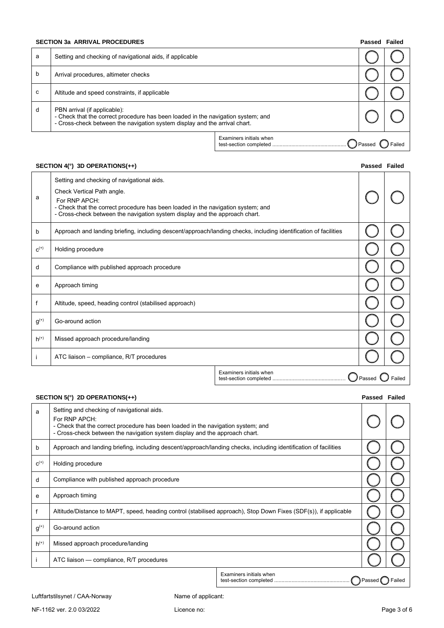#### **SECTION 3a ARRIVAL PROCEDURES Passed Failure 2012 12:30 Passed Failure 2013 12:41 Passed Failure 2014 12:42 Passed Failure 2014 12:42 Passed Failure 2014 12:42 Passed Failure 2014 12:42 Passed Failure 2014 12:42 Passed**

| Failed<br>Passed |  |
|------------------|--|
|------------------|--|

| a | Setting and checking of navigational aids, if applicable                                                                                                                                       |                         |               |        |
|---|------------------------------------------------------------------------------------------------------------------------------------------------------------------------------------------------|-------------------------|---------------|--------|
| b | Arrival procedures, altimeter checks                                                                                                                                                           |                         |               |        |
| с | Altitude and speed constraints, if applicable                                                                                                                                                  |                         |               |        |
| d | PBN arrival (if applicable):<br>- Check that the correct procedure has been loaded in the navigation system; and<br>- Cross-check between the navigation system display and the arrival chart. |                         |               |        |
|   |                                                                                                                                                                                                | Examiners initials when | <b>Passed</b> | Failed |

### **SECTION 4(°) 3D OPERATIONS(++) Passed Failed**

| а            | Setting and checking of navigational aids.<br>Check Vertical Path angle.<br>For RNP APCH:<br>- Check that the correct procedure has been loaded in the navigation system; and<br>- Cross-check between the navigation system display and the approach chart. |                         |        |  |
|--------------|--------------------------------------------------------------------------------------------------------------------------------------------------------------------------------------------------------------------------------------------------------------|-------------------------|--------|--|
| b            | Approach and landing briefing, including descent/approach/landing checks, including identification of facilities                                                                                                                                             |                         |        |  |
| $C^{(+)}$    | Holding procedure                                                                                                                                                                                                                                            |                         |        |  |
| d            | Compliance with published approach procedure                                                                                                                                                                                                                 |                         |        |  |
| е            | Approach timing                                                                                                                                                                                                                                              |                         |        |  |
| $\mathsf{f}$ | Altitude, speed, heading control (stabilised approach)                                                                                                                                                                                                       |                         |        |  |
| $g^{(+)}$    | Go-around action                                                                                                                                                                                                                                             |                         |        |  |
| $h^{(+)}$    | Missed approach procedure/landing                                                                                                                                                                                                                            |                         |        |  |
|              | ATC liaison – compliance, R/T procedures                                                                                                                                                                                                                     |                         |        |  |
|              |                                                                                                                                                                                                                                                              | Examiners initials when | Passed |  |

## **SECTION 5(°) 2D OPERATIONS(++) Passed Failed**

| a         | Setting and checking of navigational aids.<br>For RNP APCH:<br>- Check that the correct procedure has been loaded in the navigation system; and<br>- Cross-check between the navigation system display and the approach chart. |                         |          |        |
|-----------|--------------------------------------------------------------------------------------------------------------------------------------------------------------------------------------------------------------------------------|-------------------------|----------|--------|
| b         | Approach and landing briefing, including descent/approach/landing checks, including identification of facilities                                                                                                               |                         |          |        |
| $C^{(+)}$ | Holding procedure                                                                                                                                                                                                              |                         |          |        |
| d         | Compliance with published approach procedure                                                                                                                                                                                   |                         |          |        |
| е         | Approach timing                                                                                                                                                                                                                |                         |          |        |
|           | Altitude/Distance to MAPT, speed, heading control (stabilised approach), Stop Down Fixes (SDF(s)), if applicable                                                                                                               |                         |          |        |
| $g^{(+)}$ | Go-around action                                                                                                                                                                                                               |                         |          |        |
| $h^{(+)}$ | Missed approach procedure/landing                                                                                                                                                                                              |                         |          |        |
|           | ATC liaison — compliance, R/T procedures                                                                                                                                                                                       |                         |          |        |
|           |                                                                                                                                                                                                                                | Examiners initials when | Passed ( | Failed |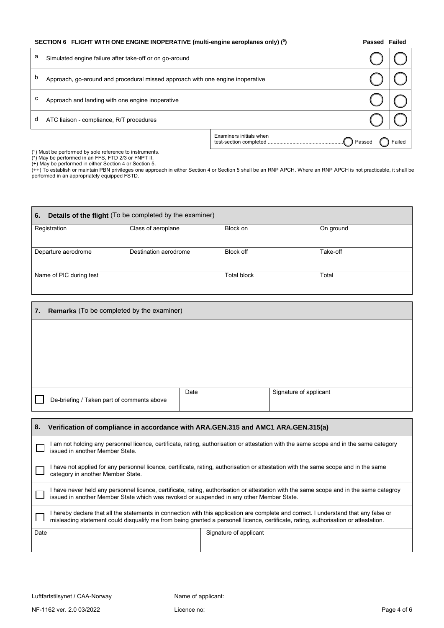|   | SECTION 6 FLIGHT WITH ONE ENGINE INOPERATIVE (multi-engine aeroplanes only) (0) |                         |          |        |  |
|---|---------------------------------------------------------------------------------|-------------------------|----------|--------|--|
| а | Simulated engine failure after take-off or on go-around                         |                         |          |        |  |
| b | Approach, go-around and procedural missed approach with one engine inoperative  |                         |          |        |  |
| c | Approach and landing with one engine inoperative                                |                         |          |        |  |
| d | ATC liaison - compliance, R/T procedures                                        |                         |          |        |  |
|   |                                                                                 | Examiners initials when | / Passed | Failed |  |

(°) Must be performed by sole reference to instruments.

(\*) May be performed in an FFS, FTD 2/3 or FNPT II.

(+) May be performed in either Section 4 or Section 5.

(++) To establish or maintain PBN privileges one approach in either Section 4 or Section 5 shall be an RNP APCH. Where an RNP APCH is not practicable, it shall be performed in an appropriately equipped FSTD.

| Details of the flight (To be completed by the examiner)<br>6. |                       |                    |           |  |  |
|---------------------------------------------------------------|-----------------------|--------------------|-----------|--|--|
| Registration                                                  | Class of aeroplane    | Block on           | On ground |  |  |
| Departure aerodrome                                           | Destination aerodrome | Block off          | Take-off  |  |  |
| Name of PIC during test                                       |                       | <b>Total block</b> | Total     |  |  |

| 7.                             | <b>Remarks</b> (To be completed by the examiner)                                                                                                                                                                                                                             |      |  |                        |  |
|--------------------------------|------------------------------------------------------------------------------------------------------------------------------------------------------------------------------------------------------------------------------------------------------------------------------|------|--|------------------------|--|
|                                |                                                                                                                                                                                                                                                                              |      |  |                        |  |
|                                |                                                                                                                                                                                                                                                                              |      |  |                        |  |
|                                |                                                                                                                                                                                                                                                                              |      |  |                        |  |
|                                |                                                                                                                                                                                                                                                                              |      |  |                        |  |
|                                | De-briefing / Taken part of comments above                                                                                                                                                                                                                                   | Date |  | Signature of applicant |  |
|                                |                                                                                                                                                                                                                                                                              |      |  |                        |  |
| 8.                             | Verification of compliance in accordance with ARA.GEN.315 and AMC1 ARA.GEN.315(a)                                                                                                                                                                                            |      |  |                        |  |
|                                | I am not holding any personnel licence, certificate, rating, authorisation or attestation with the same scope and in the same category<br>issued in another Member State.                                                                                                    |      |  |                        |  |
|                                | I have not applied for any personnel licence, certificate, rating, authorisation or attestation with the same scope and in the same<br>category in another Member State.                                                                                                     |      |  |                        |  |
|                                | I have never held any personnel licence, certificate, rating, authorisation or attestation with the same scope and in the same categroy<br>issued in another Member State which was revoked or suspended in any other Member State.                                          |      |  |                        |  |
|                                | I hereby declare that all the statements in connection with this application are complete and correct. I understand that any false or<br>misleading statement could disqualify me from being granted a personell licence, certificate, rating, authorisation or attestation. |      |  |                        |  |
| Date<br>Signature of applicant |                                                                                                                                                                                                                                                                              |      |  |                        |  |
|                                |                                                                                                                                                                                                                                                                              |      |  |                        |  |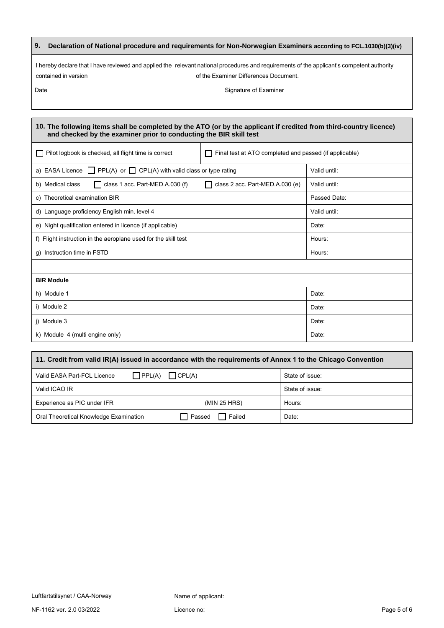| 9. Declaration of National procedure and requirements for Non-Norwegian Examiners according to FCL.1030(b)(3)(iv) |  |
|-------------------------------------------------------------------------------------------------------------------|--|
|                                                                                                                   |  |

I hereby declare that I have reviewed and applied the relevant national procedures and requirements of the applicant's competent authority contained in version **contained** in version of the Examiner Differences Document.

Date Signature of Examiner

| 10. The following items shall be completed by the ATO (or by the applicant if credited from third-country licence)<br>and checked by the examiner prior to conducting the BIR skill test |                                 |              |  |  |  |
|------------------------------------------------------------------------------------------------------------------------------------------------------------------------------------------|---------------------------------|--------------|--|--|--|
| Pilot logbook is checked, all flight time is correct<br>Final test at ATO completed and passed (if applicable)                                                                           |                                 |              |  |  |  |
| a) EASA Licence $\Box$ PPL(A) or $\Box$ CPL(A) with valid class or type rating                                                                                                           |                                 | Valid until: |  |  |  |
| class 1 acc. Part-MED.A.030 (f)<br>b) Medical class                                                                                                                                      | class 2 acc. Part-MED.A.030 (e) | Valid until: |  |  |  |
| c) Theoretical examination BIR                                                                                                                                                           |                                 | Passed Date: |  |  |  |
| d) Language proficiency English min. level 4                                                                                                                                             |                                 | Valid until: |  |  |  |
| e) Night qualification entered in licence (if applicable)                                                                                                                                |                                 | Date:        |  |  |  |
| f) Flight instruction in the aeroplane used for the skill test                                                                                                                           |                                 | Hours:       |  |  |  |
| Instruction time in FSTD<br>g)                                                                                                                                                           |                                 | Hours:       |  |  |  |
|                                                                                                                                                                                          |                                 |              |  |  |  |
| <b>BIR Module</b>                                                                                                                                                                        |                                 |              |  |  |  |
| h) Module 1                                                                                                                                                                              |                                 | Date:        |  |  |  |
| i) Module 2                                                                                                                                                                              |                                 | Date:        |  |  |  |
| i) Module 3                                                                                                                                                                              |                                 | Date:        |  |  |  |
| k) Module 4 (multi engine only)                                                                                                                                                          |                                 | Date:        |  |  |  |

| 11. Credit from valid IR(A) issued in accordance with the requirements of Annex 1 to the Chicago Convention |                 |  |  |  |  |  |
|-------------------------------------------------------------------------------------------------------------|-----------------|--|--|--|--|--|
| $\prod$ PPL(A)<br>$\bigcap$ CPL(A)<br>Valid EASA Part-FCL Licence                                           | State of issue: |  |  |  |  |  |
| Valid ICAO IR                                                                                               | State of issue: |  |  |  |  |  |
| Experience as PIC under IFR<br>(MIN 25 HRS)                                                                 | Hours:          |  |  |  |  |  |
| $\Box$ Passed<br>Failed<br>Oral Theoretical Knowledge Examination                                           | Date:           |  |  |  |  |  |